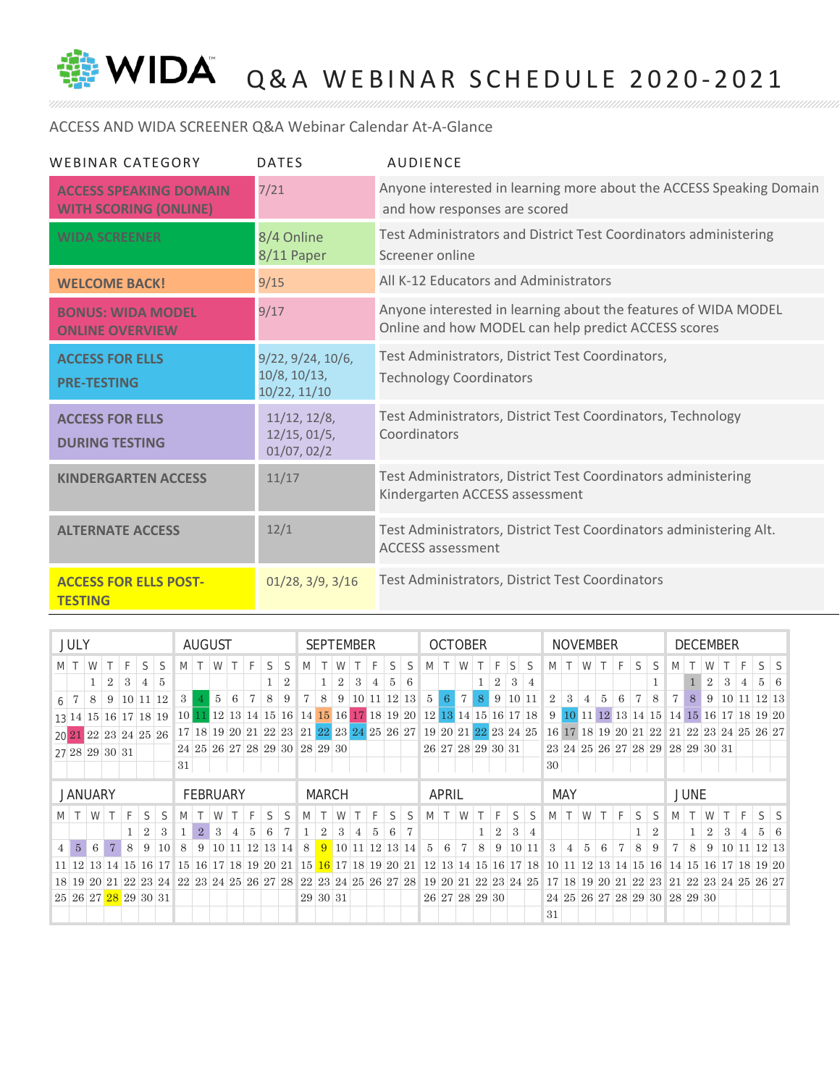

WIDA Q&A WEBINAR SCHEDULE 2020-2021

## ACCESS AND WIDA SCREENER Q&A Webinar Calendar At-A-Glance

| WEBINAR CATEGORY                                              | <b>DATES</b>                                      | <b>AUDIENCE</b>                                                                                                       |
|---------------------------------------------------------------|---------------------------------------------------|-----------------------------------------------------------------------------------------------------------------------|
| <b>ACCESS SPEAKING DOMAIN</b><br><b>WITH SCORING (ONLINE)</b> | 7/21                                              | Anyone interested in learning more about the ACCESS Speaking Domain<br>and how responses are scored                   |
| <b>WIDA SCREENER</b>                                          | 8/4 Online<br>8/11 Paper                          | Test Administrators and District Test Coordinators administering<br>Screener online                                   |
| <b>WELCOME BACK!</b>                                          | 9/15                                              | All K-12 Educators and Administrators                                                                                 |
| <b>BONUS: WIDA MODEL</b><br><b>ONLINE OVERVIEW</b>            | 9/17                                              | Anyone interested in learning about the features of WIDA MODEL<br>Online and how MODEL can help predict ACCESS scores |
| <b>ACCESS FOR ELLS</b><br><b>PRE-TESTING</b>                  | 9/22, 9/24, 10/6,<br>10/8, 10/13,<br>10/22, 11/10 | Test Administrators, District Test Coordinators,<br><b>Technology Coordinators</b>                                    |
| <b>ACCESS FOR ELLS</b><br><b>DURING TESTING</b>               | 11/12, 12/8,<br>12/15, 01/5,<br>01/07, 02/2       | Test Administrators, District Test Coordinators, Technology<br>Coordinators                                           |
| <b>KINDERGARTEN ACCESS</b>                                    | 11/17                                             | Test Administrators, District Test Coordinators administering<br>Kindergarten ACCESS assessment                       |
| <b>ALTERNATE ACCESS</b>                                       | 12/1                                              | Test Administrators, District Test Coordinators administering Alt.<br><b>ACCESS assessment</b>                        |
| <b>ACCESS FOR ELLS POST-</b><br><b>TESTING</b>                | $01/28$ , $3/9$ , $3/16$                          | Test Administrators, District Test Coordinators                                                                       |

|     | <b>JULY</b>      |                |                                   |                                  |                |       |                 | AUGUST                           |                |                |                                                                                                          |   |                |    | <b>SEPTEMBER</b> |                |    |   |                     |                                        |               | <b>OCTOBER</b>    |        |                |                |    |                                                                                                                            |                |               |                | <b>NOVEMBER</b> |    |    |                                           |        | <b>DECEMBER</b> |                |    |                                     |                |            |
|-----|------------------|----------------|-----------------------------------|----------------------------------|----------------|-------|-----------------|----------------------------------|----------------|----------------|----------------------------------------------------------------------------------------------------------|---|----------------|----|------------------|----------------|----|---|---------------------|----------------------------------------|---------------|-------------------|--------|----------------|----------------|----|----------------------------------------------------------------------------------------------------------------------------|----------------|---------------|----------------|-----------------|----|----|-------------------------------------------|--------|-----------------|----------------|----|-------------------------------------|----------------|------------|
|     | $M \mid T$       | W              |                                   | F                                | S              | S     | M               | T                                | W              | $\pm T^{-1}$   | F                                                                                                        | S | S              | M  |                  | W              |    | F | S                   | S                                      | M             | $T \mid W$        |        |                | F.             | S  | S                                                                                                                          |                | $M$ T $W$     |                | $T \mid F$      |    | S  | S                                         | M      | $\top$          | W              |    | F.                                  | S              |            |
|     |                  |                | $\overline{2}$                    | 3                                | 4              | 5     |                 |                                  |                |                |                                                                                                          |   | $\overline{2}$ |    | 1                | 2              | -3 | 4 | 5                   | 6                                      |               |                   |        |                | 2              | 3  | $\overline{4}$                                                                                                             |                |               |                |                 |    |    |                                           |        |                 | 2              | 3  | 4                                   | $5^{\circ}$    | -6         |
| 6 7 |                  | 8              |                                   | $9 \mid 10 \mid 11 \mid 12$      |                |       | 3               |                                  | 5 <sup>1</sup> | 6              |                                                                                                          | 8 | 9 <sup>1</sup> | 7  | 8                | 9 <sup>1</sup> |    |   |                     | $10 \ 11 \ 12 \ 13 \ 5$                |               | 6 <sup>1</sup>    | $\tau$ | 8 <sup>1</sup> |                |    | 9 10 11                                                                                                                    | $\overline{2}$ | $\mathcal{S}$ | $\overline{4}$ | $5^{\circ}$     | 6  |    | 8                                         | 7      | 8 <sup>1</sup>  |                |    | $9 \mid 10 \mid 11 \mid 12 \mid 13$ |                |            |
|     |                  |                |                                   | 13 14 15 16 17 18 19             |                |       |                 |                                  |                |                |                                                                                                          |   |                |    |                  |                |    |   |                     |                                        |               |                   |        |                |                |    | 10 11 12 13 14 15 16 14 15 16 17 18 19 20 12 13 14 15 16 17 18                                                             | $+9$ *         |               |                |                 |    |    | 10 11 12 13 14 15 14 15 16 17 18 19 20    |        |                 |                |    |                                     |                |            |
|     |                  |                |                                   | $20\overline{21}$ 22 23 24 25 26 |                |       |                 | 17   18   19   20   21   22   23 |                |                |                                                                                                          |   |                | 21 |                  |                |    |   |                     | 22 23 24 25 26 27 19 20 21 22 23 24 25 |               |                   |        |                |                |    |                                                                                                                            |                |               |                |                 |    |    | 16 17 18 19 20 21 22 21 22 23 24 25 26 27 |        |                 |                |    |                                     |                |            |
|     |                  |                |                                   | 27 28 29 30 31                   |                |       |                 | 24 25 26 27 28 29 30 28 29 30    |                |                |                                                                                                          |   |                |    |                  |                |    |   |                     |                                        |               | 26 27 28 29 30 31 |        |                |                |    |                                                                                                                            |                |               |                |                 |    |    | 23 24 25 26 27 28 29 28 29 30 31          |        |                 |                |    |                                     |                |            |
|     |                  |                |                                   |                                  |                |       | 31              |                                  |                |                |                                                                                                          |   |                |    |                  |                |    |   |                     |                                        |               |                   |        |                |                |    |                                                                                                                            | 30             |               |                |                 |    |    |                                           |        |                 |                |    |                                     |                |            |
|     |                  |                |                                   |                                  |                |       |                 |                                  |                |                |                                                                                                          |   |                |    |                  |                |    |   |                     |                                        |               |                   |        |                |                |    |                                                                                                                            |                |               |                |                 |    |    |                                           |        |                 |                |    |                                     |                |            |
|     |                  |                |                                   |                                  |                |       |                 |                                  |                |                |                                                                                                          |   |                |    |                  |                |    |   |                     |                                        |               |                   |        |                |                |    |                                                                                                                            |                |               |                |                 |    |    |                                           |        |                 |                |    |                                     |                |            |
|     |                  | <b>JANUARY</b> |                                   |                                  |                |       |                 | FEBRUARY                         |                |                |                                                                                                          |   |                |    | <b>MARCH</b>     |                |    |   |                     |                                        |               | APRIL             |        |                |                |    |                                                                                                                            |                | <b>MAY</b>    |                |                 |    |    |                                           |        | <b>JUNE</b>     |                |    |                                     |                |            |
|     |                  |                | MTWT                              | F                                | S              | S     | M               |                                  |                | $W$ T          | F                                                                                                        | S | S              | M  |                  | W              |    | F | S                   | S                                      | M             | $T$ W             |        |                | F              | S. | S                                                                                                                          |                |               | $M$ T $W$      | $\top$          | -F | S  | S.                                        | M      | $\top$          | W              |    |                                     | S <sub>1</sub> |            |
|     |                  |                |                                   |                                  | $\overline{2}$ | 3     | $\mathbf{1}$    | $2^{\circ}$                      | 3 <sup>1</sup> | $\overline{4}$ | -5                                                                                                       | 6 | $+7.$          | 1  | $\overline{2}$   | 3              | 4  | 5 | 6                   |                                        |               |                   |        |                | $\overline{2}$ | 3  | 4                                                                                                                          |                |               |                |                 |    |    | $\overline{2}$                            |        | 1               | $\overline{2}$ | -3 | 4                                   |                | $5 \mid 6$ |
|     | $4 \overline{5}$ | -6             | $\overline{7}$                    | 8                                | -9             | 10    | 8               |                                  |                |                | $9 \mid 10 \mid 11 \mid 12 \mid 13 \mid 14 \mid 8 \mid 9 \mid 10 \mid 11 \mid 12 \mid 13 \mid 14 \mid 5$ |   |                |    |                  |                |    |   |                     |                                        |               | 6                 | 7      | 8              | 9 <sup>1</sup> |    | 10 11                                                                                                                      | 3              | 4             | 5              | 6               | 7  | 8  | 9                                         | $\tau$ | 8               | -9             |    | 10 11 12 13                         |                |            |
|     |                  |                | $11 \mid 12 \mid 13 \mid 14 \mid$ | 15                               |                | 16 17 | $\overline{15}$ |                                  |                |                | 16 17 18 19 20 21                                                                                        |   |                | 15 |                  |                |    |   | $16$ 17 18 19 20 21 |                                        | <sup>12</sup> |                   |        |                |                |    | 13 14 15 16 17 18 10 11                                                                                                    |                |               | 12 13          |                 | 14 | 15 | 16                                        | 14 15  |                 |                |    | 16 17 18 19 20                      |                |            |
|     |                  |                |                                   |                                  |                |       |                 |                                  |                |                |                                                                                                          |   |                |    |                  |                |    |   |                     |                                        |               |                   |        |                |                |    | 18 19 20 21 22 23 24 25 24 25 26 27 28 22 23 24 25 26 27 28 19 20 21 22 23 24 25 17 18 19 20 21 22 23 21 22 23 24 25 26 27 |                |               |                |                 |    |    |                                           |        |                 |                |    |                                     |                |            |
|     |                  |                |                                   | 25 26 27 28 29 30 31             |                |       |                 |                                  |                |                |                                                                                                          |   |                |    | 29 30 31         |                |    |   |                     |                                        |               | 26 27 28 29 30    |        |                |                |    |                                                                                                                            |                |               |                |                 |    |    | 24 25 26 27 28 29 30 28 29 30             |        |                 |                |    |                                     |                |            |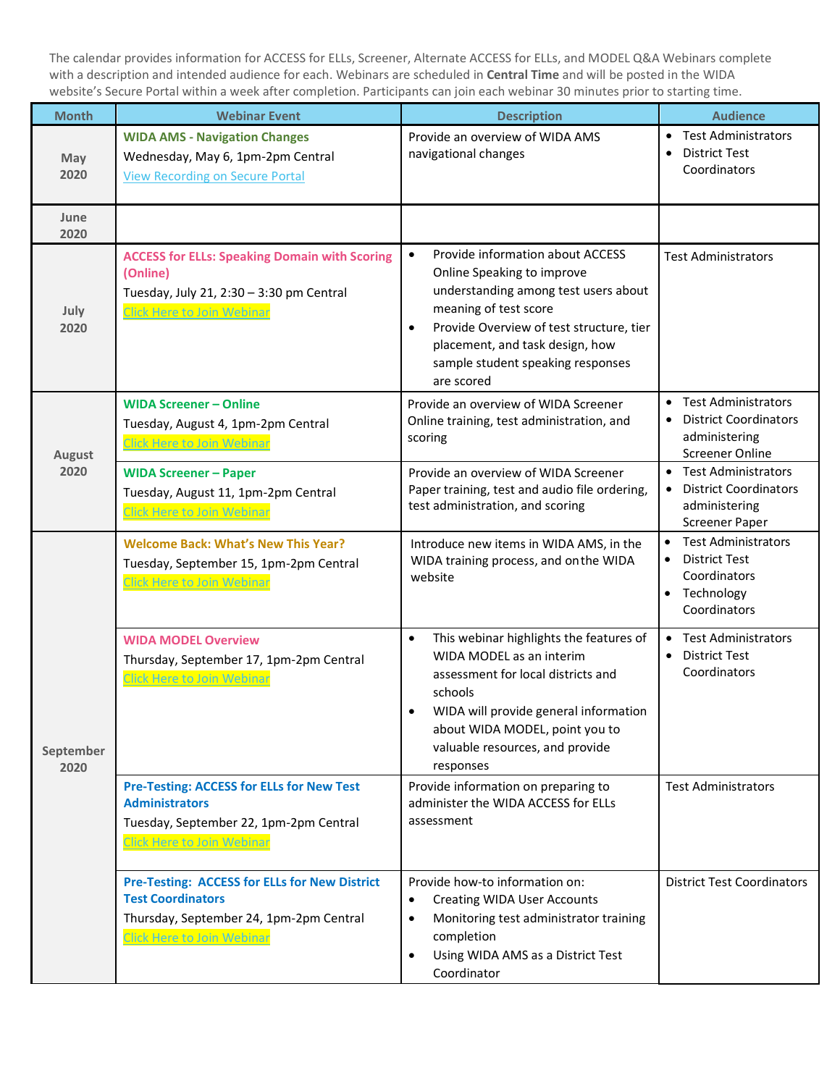The calendar provides information for ACCESS for ELLs, Screener, Alternate ACCESS for ELLs, and MODEL Q&A Webinars complete with a description and intended audience for each. Webinars are scheduled in **Central Time** and will be posted in the WIDA website's Secure Portal within a week after completion. Participants can join each webinar 30 minutes prior to starting time.

| <b>Month</b>      | <b>Webinar Event</b>                                                                                                                                             | <b>Description</b>                                                                                                                                                                                                                                                                          | <b>Audience</b>                                                                                                                         |
|-------------------|------------------------------------------------------------------------------------------------------------------------------------------------------------------|---------------------------------------------------------------------------------------------------------------------------------------------------------------------------------------------------------------------------------------------------------------------------------------------|-----------------------------------------------------------------------------------------------------------------------------------------|
| May<br>2020       | <b>WIDA AMS - Navigation Changes</b><br>Wednesday, May 6, 1pm-2pm Central<br><b>View Recording on Secure Portal</b>                                              | Provide an overview of WIDA AMS<br>navigational changes                                                                                                                                                                                                                                     | <b>Test Administrators</b><br>$\bullet$<br><b>District Test</b><br>$\bullet$<br>Coordinators                                            |
| June<br>2020      |                                                                                                                                                                  |                                                                                                                                                                                                                                                                                             |                                                                                                                                         |
| July<br>2020      | <b>ACCESS for ELLs: Speaking Domain with Scoring</b><br>(Online)<br>Tuesday, July 21, 2:30 - 3:30 pm Central<br><b>Click Here to Join Webinar</b>                | Provide information about ACCESS<br>$\bullet$<br>Online Speaking to improve<br>understanding among test users about<br>meaning of test score<br>Provide Overview of test structure, tier<br>$\bullet$<br>placement, and task design, how<br>sample student speaking responses<br>are scored | <b>Test Administrators</b>                                                                                                              |
| August            | <b>WIDA Screener - Online</b><br>Tuesday, August 4, 1pm-2pm Central<br><b>Click Here to Join Webinar</b>                                                         | Provide an overview of WIDA Screener<br>Online training, test administration, and<br>scoring                                                                                                                                                                                                | <b>Test Administrators</b><br>$\bullet$<br><b>District Coordinators</b><br>$\bullet$<br>administering<br><b>Screener Online</b>         |
| 2020              | <b>WIDA Screener - Paper</b><br>Tuesday, August 11, 1pm-2pm Central<br><b>Click Here to Join Webinar</b>                                                         | Provide an overview of WIDA Screener<br>Paper training, test and audio file ordering,<br>test administration, and scoring                                                                                                                                                                   | <b>Test Administrators</b><br>$\bullet$<br><b>District Coordinators</b><br>$\bullet$<br>administering<br><b>Screener Paper</b>          |
|                   | <b>Welcome Back: What's New This Year?</b><br>Tuesday, September 15, 1pm-2pm Central<br><b>Click Here to Join Webinar</b>                                        | Introduce new items in WIDA AMS, in the<br>WIDA training process, and on the WIDA<br>website                                                                                                                                                                                                | <b>Test Administrators</b><br>$\bullet$<br><b>District Test</b><br>$\bullet$<br>Coordinators<br>Technology<br>$\bullet$<br>Coordinators |
| September<br>2020 | <b>WIDA MODEL Overview</b><br>Thursday, September 17, 1pm-2pm Central<br><b>Click Here to Join Webinar</b>                                                       | This webinar highlights the features of<br>$\bullet$<br>WIDA MODEL as an interim<br>assessment for local districts and<br>schools<br>WIDA will provide general information<br>about WIDA MODEL, point you to<br>valuable resources, and provide<br>responses                                | <b>Test Administrators</b><br>$\bullet$<br><b>District Test</b><br>$\bullet$<br>Coordinators                                            |
|                   | <b>Pre-Testing: ACCESS for ELLs for New Test</b><br><b>Administrators</b><br>Tuesday, September 22, 1pm-2pm Central<br><b>Click Here to Join Webinar</b>         | Provide information on preparing to<br>administer the WIDA ACCESS for ELLs<br>assessment                                                                                                                                                                                                    | <b>Test Administrators</b>                                                                                                              |
|                   | <b>Pre-Testing: ACCESS for ELLs for New District</b><br><b>Test Coordinators</b><br>Thursday, September 24, 1pm-2pm Central<br><b>Click Here to Join Webinar</b> | Provide how-to information on:<br><b>Creating WIDA User Accounts</b><br>$\bullet$<br>Monitoring test administrator training<br>$\bullet$<br>completion<br>Using WIDA AMS as a District Test<br>$\bullet$<br>Coordinator                                                                     | <b>District Test Coordinators</b>                                                                                                       |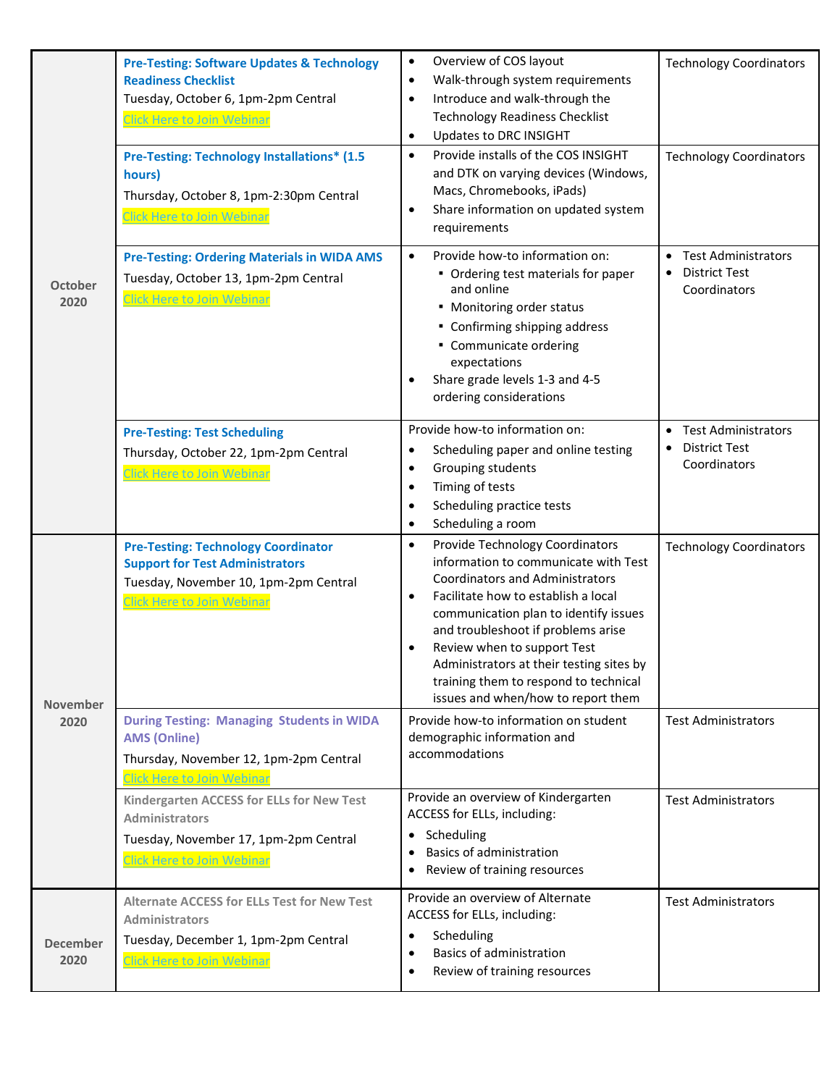|                         | <b>Pre-Testing: Software Updates &amp; Technology</b><br><b>Readiness Checklist</b><br>Tuesday, October 6, 1pm-2pm Central<br><b>Click Here to Join Webinar</b><br><b>Pre-Testing: Technology Installations* (1.5)</b><br>hours)<br>Thursday, October 8, 1pm-2:30pm Central<br><b>Click Here to Join Webinar</b> | Overview of COS layout<br>$\bullet$<br>Walk-through system requirements<br>$\bullet$<br>Introduce and walk-through the<br>$\bullet$<br><b>Technology Readiness Checklist</b><br>Updates to DRC INSIGHT<br>$\bullet$<br>Provide installs of the COS INSIGHT<br>$\bullet$<br>and DTK on varying devices (Windows,<br>Macs, Chromebooks, iPads)<br>Share information on updated system<br>$\bullet$<br>requirements            | <b>Technology Coordinators</b><br><b>Technology Coordinators</b>                             |
|-------------------------|------------------------------------------------------------------------------------------------------------------------------------------------------------------------------------------------------------------------------------------------------------------------------------------------------------------|-----------------------------------------------------------------------------------------------------------------------------------------------------------------------------------------------------------------------------------------------------------------------------------------------------------------------------------------------------------------------------------------------------------------------------|----------------------------------------------------------------------------------------------|
| <b>October</b><br>2020  | <b>Pre-Testing: Ordering Materials in WIDA AMS</b><br>Tuesday, October 13, 1pm-2pm Central<br><b>Click Here to Join Webinar</b>                                                                                                                                                                                  | Provide how-to information on:<br>$\bullet$<br>• Ordering test materials for paper<br>and online<br>• Monitoring order status<br>• Confirming shipping address<br>• Communicate ordering<br>expectations<br>Share grade levels 1-3 and 4-5<br>$\bullet$<br>ordering considerations                                                                                                                                          | <b>Test Administrators</b><br><b>District Test</b><br>$\bullet$<br>Coordinators              |
|                         | <b>Pre-Testing: Test Scheduling</b><br>Thursday, October 22, 1pm-2pm Central<br><b>Click Here to Join Webinar</b>                                                                                                                                                                                                | Provide how-to information on:<br>Scheduling paper and online testing<br>٠<br>Grouping students<br>$\bullet$<br>Timing of tests<br>$\bullet$<br>Scheduling practice tests<br>$\bullet$<br>Scheduling a room<br>$\bullet$                                                                                                                                                                                                    | <b>Test Administrators</b><br>$\bullet$<br><b>District Test</b><br>$\bullet$<br>Coordinators |
| <b>November</b>         | <b>Pre-Testing: Technology Coordinator</b><br><b>Support for Test Administrators</b><br>Tuesday, November 10, 1pm-2pm Central<br><b>Click Here to Join Webinar</b>                                                                                                                                               | Provide Technology Coordinators<br>$\bullet$<br>information to communicate with Test<br><b>Coordinators and Administrators</b><br>Facilitate how to establish a local<br>$\bullet$<br>communication plan to identify issues<br>and troubleshoot if problems arise<br>Review when to support Test<br>Administrators at their testing sites by<br>training them to respond to technical<br>issues and when/how to report them | <b>Technology Coordinators</b>                                                               |
| 2020                    | <b>During Testing: Managing Students in WIDA</b><br><b>AMS (Online)</b><br>Thursday, November 12, 1pm-2pm Central<br><b>Click Here to Join Webinar</b>                                                                                                                                                           | Provide how-to information on student<br>demographic information and<br>accommodations                                                                                                                                                                                                                                                                                                                                      | <b>Test Administrators</b>                                                                   |
|                         | Kindergarten ACCESS for ELLs for New Test<br><b>Administrators</b><br>Tuesday, November 17, 1pm-2pm Central<br><b>Click Here to Join Webinar</b>                                                                                                                                                                 | Provide an overview of Kindergarten<br>ACCESS for ELLs, including:<br>• Scheduling<br>Basics of administration<br>Review of training resources                                                                                                                                                                                                                                                                              | <b>Test Administrators</b>                                                                   |
| <b>December</b><br>2020 | <b>Alternate ACCESS for ELLs Test for New Test</b><br><b>Administrators</b><br>Tuesday, December 1, 1pm-2pm Central<br>Click Here to Join Webinar                                                                                                                                                                | Provide an overview of Alternate<br>ACCESS for ELLs, including:<br>Scheduling<br>$\bullet$<br>Basics of administration<br>$\bullet$<br>Review of training resources<br>$\bullet$                                                                                                                                                                                                                                            | <b>Test Administrators</b>                                                                   |